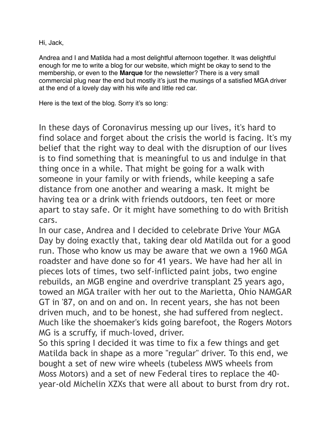Hi, Jack,

Andrea and I and Matilda had a most delightful afternoon together. It was delightful enough for me to write a blog for our website, which might be okay to send to the membership, or even to the **Marque** for the newsletter? There is a very small commercial plug near the end but mostly it's just the musings of a satisfied MGA driver at the end of a lovely day with his wife and little red car.

Here is the text of the blog. Sorry it's so long:

In these days of Coronavirus messing up our lives, it's hard to find solace and forget about the crisis the world is facing. It's my belief that the right way to deal with the disruption of our lives is to find something that is meaningful to us and indulge in that thing once in a while. That might be going for a walk with someone in your family or with friends, while keeping a safe distance from one another and wearing a mask. It might be having tea or a drink with friends outdoors, ten feet or more apart to stay safe. Or it might have something to do with British cars.

In our case, Andrea and I decided to celebrate Drive Your MGA Day by doing exactly that, taking dear old Matilda out for a good run. Those who know us may be aware that we own a 1960 MGA roadster and have done so for 41 years. We have had her all in pieces lots of times, two self-inflicted paint jobs, two engine rebuilds, an MGB engine and overdrive transplant 25 years ago, towed an MGA trailer with her out to the Marietta, Ohio NAMGAR GT in '87, on and on and on. In recent years, she has not been driven much, and to be honest, she had suffered from neglect. Much like the shoemaker's kids going barefoot, the Rogers Motors MG is a scruffy, if much-loved, driver.

So this spring I decided it was time to fix a few things and get Matilda back in shape as a more "regular" driver. To this end, we bought a set of new wire wheels (tubeless MWS wheels from Moss Motors) and a set of new Federal tires to replace the 40 year-old Michelin XZXs that were all about to burst from dry rot.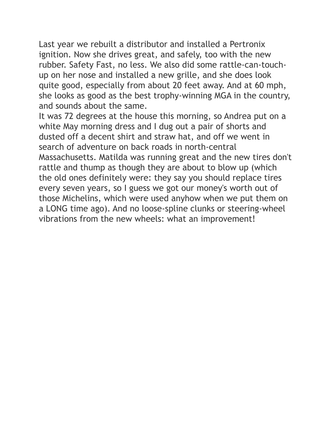Last year we rebuilt a distributor and installed a Pertronix ignition. Now she drives great, and safely, too with the new rubber. Safety Fast, no less. We also did some rattle-can-touchup on her nose and installed a new grille, and she does look quite good, especially from about 20 feet away. And at 60 mph, she looks as good as the best trophy-winning MGA in the country, and sounds about the same.

It was 72 degrees at the house this morning, so Andrea put on a white May morning dress and I dug out a pair of shorts and dusted off a decent shirt and straw hat, and off we went in search of adventure on back roads in north-central Massachusetts. Matilda was running great and the new tires don't rattle and thump as though they are about to blow up (which the old ones definitely were: they say you should replace tires every seven years, so I guess we got our money's worth out of those Michelins, which were used anyhow when we put them on a LONG time ago). And no loose-spline clunks or steering-wheel vibrations from the new wheels: what an improvement!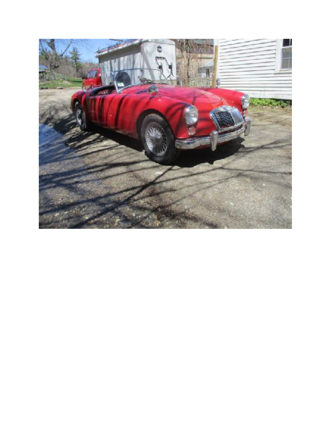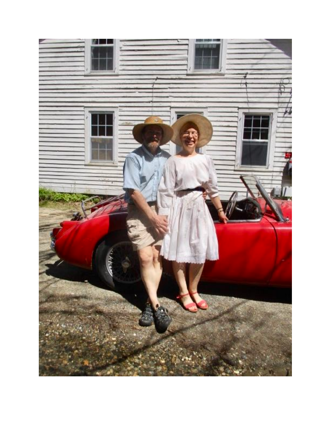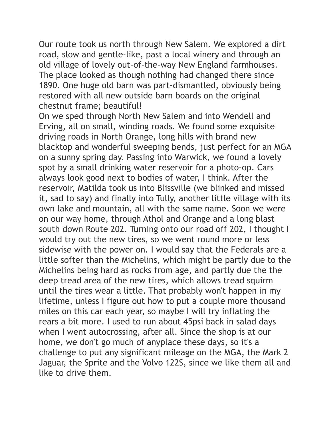Our route took us north through New Salem. We explored a dirt road, slow and gentle-like, past a local winery and through an old village of lovely out-of-the-way New England farmhouses. The place looked as though nothing had changed there since 1890. One huge old barn was part-dismantled, obviously being restored with all new outside barn boards on the original chestnut frame; beautiful!

On we sped through North New Salem and into Wendell and Erving, all on small, winding roads. We found some exquisite driving roads in North Orange, long hills with brand new blacktop and wonderful sweeping bends, just perfect for an MGA on a sunny spring day. Passing into Warwick, we found a lovely spot by a small drinking water reservoir for a photo-op. Cars always look good next to bodies of water, I think. After the reservoir, Matilda took us into Blissville (we blinked and missed it, sad to say) and finally into Tully, another little village with its own lake and mountain, all with the same name. Soon we were on our way home, through Athol and Orange and a long blast south down Route 202. Turning onto our road off 202, I thought I would try out the new tires, so we went round more or less sidewise with the power on. I would say that the Federals are a little softer than the Michelins, which might be partly due to the Michelins being hard as rocks from age, and partly due the the deep tread area of the new tires, which allows tread squirm until the tires wear a little. That probably won't happen in my lifetime, unless I figure out how to put a couple more thousand miles on this car each year, so maybe I will try inflating the rears a bit more. I used to run about 45psi back in salad days when I went autocrossing, after all. Since the shop is at our home, we don't go much of anyplace these days, so it's a challenge to put any significant mileage on the MGA, the Mark 2 Jaguar, the Sprite and the Volvo 122S, since we like them all and like to drive them.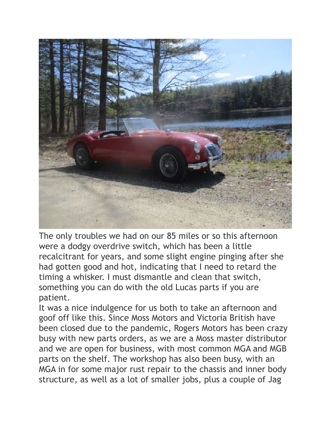

The only troubles we had on our 85 miles or so this afternoon were a dodgy overdrive switch, which has been a little recalcitrant for years, and some slight engine pinging after she had gotten good and hot, indicating that I need to retard the timing a whisker. I must dismantle and clean that switch, something you can do with the old Lucas parts if you are patient.

It was a nice indulgence for us both to take an afternoon and goof off like this. Since Moss Motors and Victoria British have been closed due to the pandemic, Rogers Motors has been crazy busy with new parts orders, as we are a Moss master distributor and we are open for business, with most common MGA and MGB parts on the shelf. The workshop has also been busy, with an MGA in for some major rust repair to the chassis and inner body structure, as well as a lot of smaller jobs, plus a couple of Jag